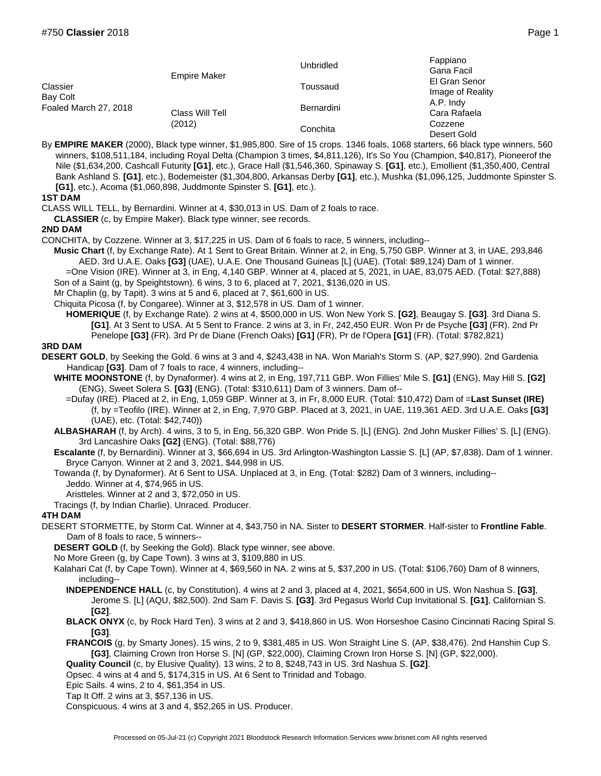|                                               | <b>Empire Maker</b><br>Class Will Tell<br>(2012) | Unbridled  | Fappiano<br>Gana Facil            |
|-----------------------------------------------|--------------------------------------------------|------------|-----------------------------------|
| Classier<br>Bay Colt<br>Foaled March 27, 2018 |                                                  | Toussaud   | El Gran Senor<br>Image of Reality |
|                                               |                                                  | Bernardini | A.P. Indy<br>Cara Rafaela         |
|                                               |                                                  | Conchita   | Cozzene<br>Desert Gold            |

By **EMPIRE MAKER** (2000), Black type winner, \$1,985,800. Sire of 15 crops. 1346 foals, 1068 starters, 66 black type winners, 560 winners, \$108,511,184, including Royal Delta (Champion 3 times, \$4,811,126), It's So You (Champion, \$40,817), Pioneerof the Nile (\$1,634,200, Cashcall Futurity **[G1]**, etc.), Grace Hall (\$1,546,360, Spinaway S. **[G1]**, etc.), Emollient (\$1,350,400, Central Bank Ashland S. **[G1]**, etc.), Bodemeister (\$1,304,800, Arkansas Derby **[G1]**, etc.), Mushka (\$1,096,125, Juddmonte Spinster S. **[G1]**, etc.), Acoma (\$1,060,898, Juddmonte Spinster S. **[G1]**, etc.).

**1ST DAM**

CLASS WILL TELL, by Bernardini. Winner at 4, \$30,013 in US. Dam of 2 foals to race.

**CLASSIER** (c, by Empire Maker). Black type winner, see records.

**2ND DAM**

CONCHITA, by Cozzene. Winner at 3, \$17,225 in US. Dam of 6 foals to race, 5 winners, including--

**Music Chart** (f, by Exchange Rate). At 1 Sent to Great Britain. Winner at 2, in Eng, 5,750 GBP. Winner at 3, in UAE, 293,846 AED. 3rd U.A.E. Oaks **[G3]** (UAE), U.A.E. One Thousand Guineas [L] (UAE). (Total: \$89,124) Dam of 1 winner.

=One Vision (IRE). Winner at 3, in Eng, 4,140 GBP. Winner at 4, placed at 5, 2021, in UAE, 83,075 AED. (Total: \$27,888) Son of a Saint (g, by Speightstown). 6 wins, 3 to 6, placed at 7, 2021, \$136,020 in US.

Mr Chaplin (g, by Tapit). 3 wins at 5 and 6, placed at 7, \$61,600 in US.

Chiquita Picosa (f, by Congaree). Winner at 3, \$12,578 in US. Dam of 1 winner.

**HOMERIQUE** (f, by Exchange Rate). 2 wins at 4, \$500,000 in US. Won New York S. **[G2]**, Beaugay S. **[G3]**. 3rd Diana S. **[G1]**. At 3 Sent to USA. At 5 Sent to France. 2 wins at 3, in Fr, 242,450 EUR. Won Pr de Psyche **[G3]** (FR). 2nd Pr Penelope **[G3]** (FR). 3rd Pr de Diane (French Oaks) **[G1]** (FR), Pr de l'Opera **[G1]** (FR). (Total: \$782,821)

**3RD DAM**

**DESERT GOLD**, by Seeking the Gold. 6 wins at 3 and 4, \$243,438 in NA. Won Mariah's Storm S. (AP, \$27,990). 2nd Gardenia Handicap **[G3]**. Dam of 7 foals to race, 4 winners, including--

**WHITE MOONSTONE** (f, by Dynaformer). 4 wins at 2, in Eng, 197,711 GBP. Won Fillies' Mile S. **[G1]** (ENG), May Hill S. **[G2]** (ENG), Sweet Solera S. **[G3]** (ENG). (Total: \$310,611) Dam of 3 winners. Dam of--

=Dufay (IRE). Placed at 2, in Eng, 1,059 GBP. Winner at 3, in Fr, 8,000 EUR. (Total: \$10,472) Dam of =**Last Sunset (IRE)** (f, by =Teofilo (IRE). Winner at 2, in Eng, 7,970 GBP. Placed at 3, 2021, in UAE, 119,361 AED. 3rd U.A.E. Oaks **[G3]** (UAE), etc. (Total: \$42,740))

**ALBASHARAH** (f, by Arch). 4 wins, 3 to 5, in Eng, 56,320 GBP. Won Pride S. [L] (ENG). 2nd John Musker Fillies' S. [L] (ENG). 3rd Lancashire Oaks **[G2]** (ENG). (Total: \$88,776)

**Escalante** (f, by Bernardini). Winner at 3, \$66,694 in US. 3rd Arlington-Washington Lassie S. [L] (AP, \$7,838). Dam of 1 winner. Bryce Canyon. Winner at 2 and 3, 2021, \$44,998 in US.

Towanda (f, by Dynaformer). At 6 Sent to USA. Unplaced at 3, in Eng. (Total: \$282) Dam of 3 winners, including-- Jeddo. Winner at 4, \$74,965 in US.

Aristteles. Winner at 2 and 3, \$72,050 in US.

Tracings (f, by Indian Charlie). Unraced. Producer.

## **4TH DAM**

DESERT STORMETTE, by Storm Cat. Winner at 4, \$43,750 in NA. Sister to **DESERT STORMER**. Half-sister to **Frontline Fable**. Dam of 8 foals to race, 5 winners--

**DESERT GOLD** (f, by Seeking the Gold). Black type winner, see above.

No More Green (g, by Cape Town). 3 wins at 3, \$109,880 in US.

Kalahari Cat (f, by Cape Town). Winner at 4, \$69,560 in NA. 2 wins at 5, \$37,200 in US. (Total: \$106,760) Dam of 8 winners, including--

**INDEPENDENCE HALL** (c, by Constitution). 4 wins at 2 and 3, placed at 4, 2021, \$654,600 in US. Won Nashua S. **[G3]**, Jerome S. [L] (AQU, \$82,500). 2nd Sam F. Davis S. **[G3]**. 3rd Pegasus World Cup Invitational S. **[G1]**, Californian S. **[G2]**.

**BLACK ONYX** (c, by Rock Hard Ten). 3 wins at 2 and 3, \$418,860 in US. Won Horseshoe Casino Cincinnati Racing Spiral S. **[G3]**.

**FRANCOIS** (g, by Smarty Jones). 15 wins, 2 to 9, \$381,485 in US. Won Straight Line S. (AP, \$38,476). 2nd Hanshin Cup S. **[G3]**, Claiming Crown Iron Horse S. [N] (GP, \$22,000), Claiming Crown Iron Horse S. [N] (GP, \$22,000).

**Quality Council** (c, by Elusive Quality). 13 wins, 2 to 8, \$248,743 in US. 3rd Nashua S. **[G2]**.

Opsec. 4 wins at 4 and 5, \$174,315 in US. At 6 Sent to Trinidad and Tobago.

Epic Sails. 4 wins, 2 to 4, \$61,354 in US.

Tap It Off. 2 wins at 3, \$57,136 in US.

Conspicuous. 4 wins at 3 and 4, \$52,265 in US. Producer.